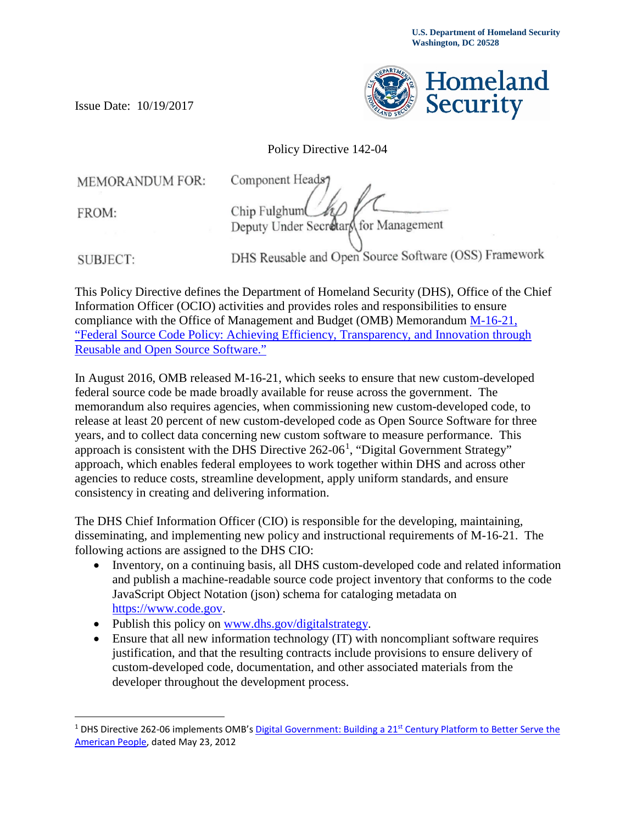

Policy Directive 142-04

**MEMORANDUM FOR:** 

Issue Date: 10/19/2017

FROM:

Component Heads Chip Fulghum Deputy Under Secretary for Management

**SUBJECT:** 

 $\overline{a}$ 

DHS Reusable and Open Source Software (OSS) Framework

This Policy Directive defines the Department of Homeland Security (DHS), Office of the Chief Information Officer (OCIO) activities and provides roles and responsibilities to ensure compliance with the Office of Management and Budget (OMB) Memorandum [M-16-21,](https://obamawhitehouse.archives.gov/sites/default/files/omb/memoranda/2016/m_16_21.pdf)  ["Federal Source Code Policy: Achieving Efficiency, Transparency, and Innovation through](https://obamawhitehouse.archives.gov/sites/default/files/omb/memoranda/2016/m_16_21.pdf)  [Reusable and Open Source Software."](https://obamawhitehouse.archives.gov/sites/default/files/omb/memoranda/2016/m_16_21.pdf)

In August 2016, OMB released M-16-21, which seeks to ensure that new custom-developed federal source code be made broadly available for reuse across the government. The memorandum also requires agencies, when commissioning new custom-developed code, to release at least 20 percent of new custom-developed code as Open Source Software for three years, and to collect data concerning new custom software to measure performance. This approach is consistent with the DHS Directive  $262{\text -}06^1$  $262{\text -}06^1$ , "Digital Government Strategy" approach, which enables federal employees to work together within DHS and across other agencies to reduce costs, streamline development, apply uniform standards, and ensure consistency in creating and delivering information.

The DHS Chief Information Officer (CIO) is responsible for the developing, maintaining, disseminating, and implementing new policy and instructional requirements of M-16-21. The following actions are assigned to the DHS CIO:

- Inventory, on a continuing basis, all DHS custom-developed code and related information and publish a machine-readable source code project inventory that conforms to the code JavaScript Object Notation (json) schema for cataloging metadata on [https://www.code.gov.](https://www.code.gov/)
- Publish this policy on [www.dhs.gov/digitalstrategy.](http://www.dhs.gov/digitalstrategy)
- Ensure that all new information technology (IT) with noncompliant software requires justification, and that the resulting contracts include provisions to ensure delivery of custom-developed code, documentation, and other associated materials from the developer throughout the development process.

<span id="page-0-0"></span><sup>&</sup>lt;sup>1</sup> DHS Directive 262-06 implements OMB's Digital Government: Building a 21<sup>st</sup> Century Platform to Better Serve the [American People,](https://obamawhitehouse.archives.gov/sites/default/files/omb/egov/digital-government/digital-government.html) dated May 23, 2012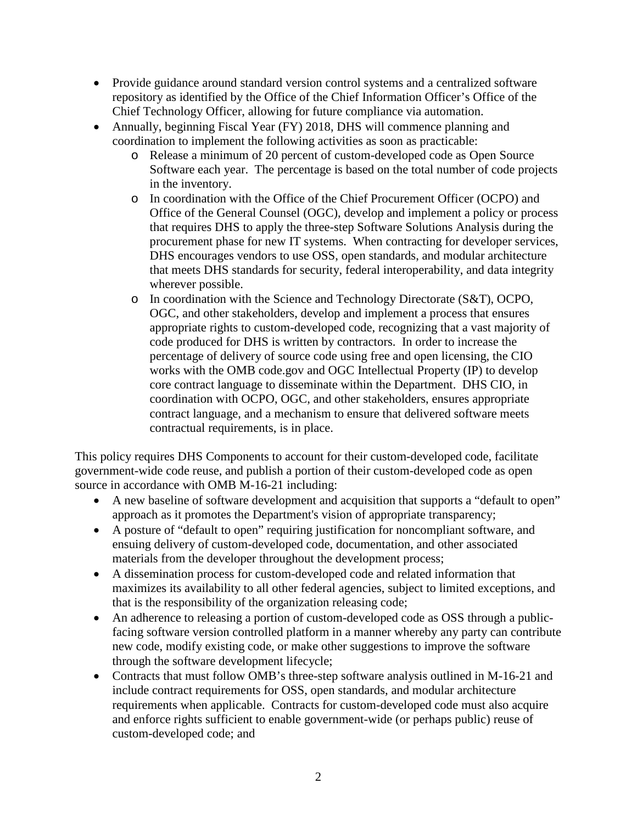- Provide guidance around standard version control systems and a centralized software repository as identified by the Office of the Chief Information Officer's Office of the Chief Technology Officer, allowing for future compliance via automation.
- Annually, beginning Fiscal Year (FY) 2018, DHS will commence planning and coordination to implement the following activities as soon as practicable:
	- o Release a minimum of 20 percent of custom-developed code as Open Source Software each year. The percentage is based on the total number of code projects in the inventory.
	- o In coordination with the Office of the Chief Procurement Officer (OCPO) and Office of the General Counsel (OGC), develop and implement a policy or process that requires DHS to apply the three-step Software Solutions Analysis during the procurement phase for new IT systems. When contracting for developer services, DHS encourages vendors to use OSS, open standards, and modular architecture that meets DHS standards for security, federal interoperability, and data integrity wherever possible.
	- o In coordination with the Science and Technology Directorate (S&T), OCPO, OGC, and other stakeholders, develop and implement a process that ensures appropriate rights to custom-developed code, recognizing that a vast majority of code produced for DHS is written by contractors. In order to increase the percentage of delivery of source code using free and open licensing, the CIO works with the OMB code.gov and OGC Intellectual Property (IP) to develop core contract language to disseminate within the Department. DHS CIO, in coordination with OCPO, OGC, and other stakeholders, ensures appropriate contract language, and a mechanism to ensure that delivered software meets contractual requirements, is in place.

This policy requires DHS Components to account for their custom-developed code, facilitate government-wide code reuse, and publish a portion of their custom-developed code as open source in accordance with OMB M-16-21 including:

- A new baseline of software development and acquisition that supports a "default to open" approach as it promotes the Department's vision of appropriate transparency;
- A posture of "default to open" requiring justification for noncompliant software, and ensuing delivery of custom-developed code, documentation, and other associated materials from the developer throughout the development process;
- A dissemination process for custom-developed code and related information that maximizes its availability to all other federal agencies, subject to limited exceptions, and that is the responsibility of the organization releasing code;
- An adherence to releasing a portion of custom-developed code as OSS through a publicfacing software version controlled platform in a manner whereby any party can contribute new code, modify existing code, or make other suggestions to improve the software through the software development lifecycle;
- Contracts that must follow OMB's three-step software analysis outlined in M-16-21 and include contract requirements for OSS, open standards, and modular architecture requirements when applicable. Contracts for custom-developed code must also acquire and enforce rights sufficient to enable government-wide (or perhaps public) reuse of custom-developed code; and